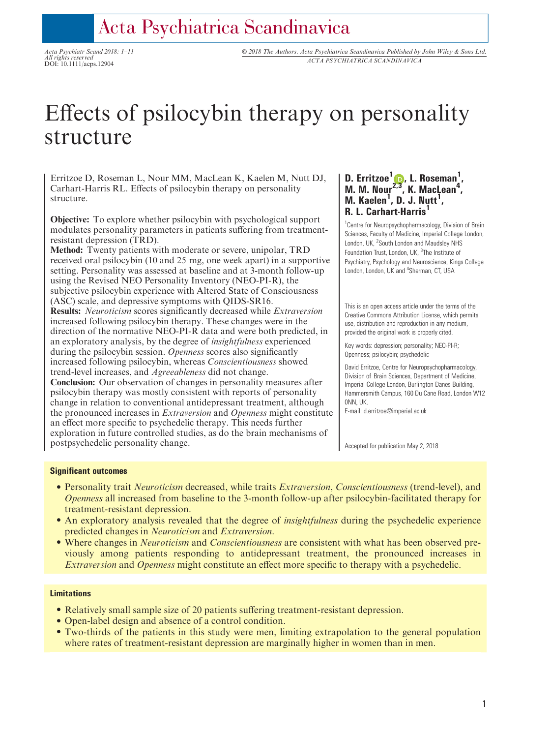## Acta Psychiatrica Scandinavica

All rights reserved

Acta Psychiatr Scand 2018: 1–11 © 2018 The Authors. Acta Psychiatrica Scandinavica Published by John Wiley & Sons Ltd. All rights reserved<br>DOI: 10.1111/acps.12904<br>DOI: 10.1111/acps.12904

# Effects of psilocybin therapy on personality structure

Erritzoe D, Roseman L, Nour MM, MacLean K, Kaelen M, Nutt DJ, Carhart-Harris RL. Effects of psilocybin therapy on personality structure.

Objective: To explore whether psilocybin with psychological support modulates personality parameters in patients suffering from treatmentresistant depression (TRD).

Method: Twenty patients with moderate or severe, unipolar, TRD received oral psilocybin (10 and 25 mg, one week apart) in a supportive setting. Personality was assessed at baseline and at 3-month follow-up using the Revised NEO Personality Inventory (NEO-PI-R), the subjective psilocybin experience with Altered State of Consciousness (ASC) scale, and depressive symptoms with QIDS-SR16.

Results: Neuroticism scores significantly decreased while Extraversion increased following psilocybin therapy. These changes were in the direction of the normative NEO-PI-R data and were both predicted, in an exploratory analysis, by the degree of insightfulness experienced during the psilocybin session. Openness scores also significantly increased following psilocybin, whereas Conscientiousness showed trend-level increases, and Agreeableness did not change.

Conclusion: Our observation of changes in personality measures after psilocybin therapy was mostly consistent with reports of personality change in relation to conventional antidepressant treatment, although the pronounced increases in Extraversion and Openness might constitute an effect more specific to psychedelic therapy. This needs further exploration in future controlled studies, as do the brain mechanisms of postpsychedelic personality change.

## D. Erritzoe<sup>1</sup> $\bullet$ [,](http://orcid.org/0000-0002-7022-6211) L. Roseman<sup>1</sup>, M. M. Nour<sup>[2,3](http://orcid.org/0000-0002-7022-6211)</sup>, K. MacLean<sup>4</sup>,  $M.$  Kaelen<sup>1</sup>, D. J. Nutt<sup>1</sup>, R. L. Carhart-Harris

<sup>1</sup> Centre for Neuropsychopharmacology, Division of Brain Sciences, Faculty of Medicine, Imperial College London, London, UK, <sup>2</sup>South London and Maudsley NHS Foundation Trust, London, UK, <sup>3</sup>The Institute of Psychiatry, Psychology and Neuroscience, Kings College London, London, UK and <sup>4</sup>Sherman, CT, USA

This is an open access article under the terms of the [Creative Commons Attribution](http://creativecommons.org/licenses/by/4.0/) License, which permits use, distribution and reproduction in any medium, provided the original work is properly cited.

Key words: depression; personality; NEO-PI-R; Openness; psilocybin; psychedelic

David Erritzoe, Centre for Neuropsychopharmacology, Division of Brain Sciences, Department of Medicine, Imperial College London, Burlington Danes Building, Hammersmith Campus, 160 Du Cane Road, London W12 0NN, UK.

E-mail: d.erritzoe@imperial.ac.uk

Accepted for publication May 2, 2018

## Significant outcomes

- Personality trait *Neuroticism* decreased, while traits *Extraversion, Conscientiousness* (trend-level), and Openness all increased from baseline to the 3-month follow-up after psilocybin-facilitated therapy for treatment-resistant depression.
- An exploratory analysis revealed that the degree of *insightfulness* during the psychedelic experience predicted changes in Neuroticism and Extraversion.
- Where changes in *Neuroticism* and *Conscientiousness* are consistent with what has been observed previously among patients responding to antidepressant treatment, the pronounced increases in Extraversion and Openness might constitute an effect more specific to therapy with a psychedelic.

### Limitations

- Relatively small sample size of 20 patients suffering treatment-resistant depression.
- Open-label design and absence of a control condition.
- Two-thirds of the patients in this study were men, limiting extrapolation to the general population where rates of treatment-resistant depression are marginally higher in women than in men.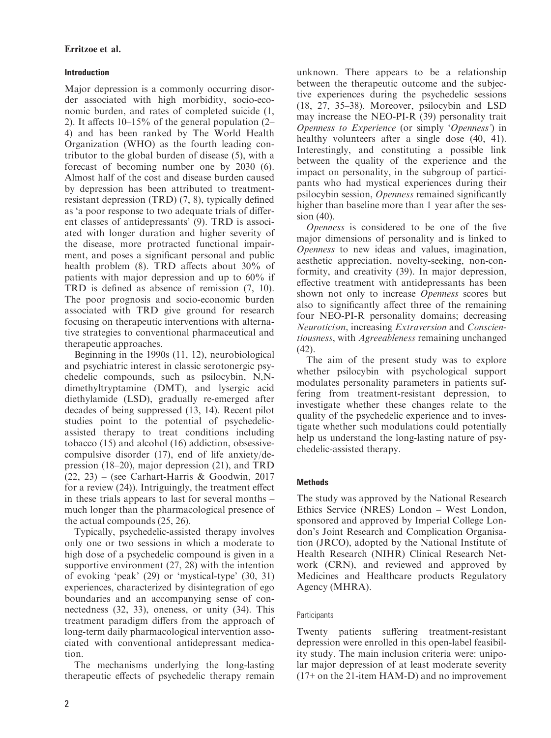## Introduction

Major depression is a commonly occurring disorder associated with high morbidity, socio-economic burden, and rates of completed suicide (1, 2). It affects  $10-15\%$  of the general population  $(2-$ 4) and has been ranked by The World Health Organization (WHO) as the fourth leading contributor to the global burden of disease (5), with a forecast of becoming number one by 2030 (6). Almost half of the cost and disease burden caused by depression has been attributed to treatmentresistant depression (TRD) (7, 8), typically defined as 'a poor response to two adequate trials of different classes of antidepressants' (9). TRD is associated with longer duration and higher severity of the disease, more protracted functional impairment, and poses a significant personal and public health problem (8). TRD affects about 30% of patients with major depression and up to 60% if TRD is defined as absence of remission (7, 10). The poor prognosis and socio-economic burden associated with TRD give ground for research focusing on therapeutic interventions with alternative strategies to conventional pharmaceutical and therapeutic approaches.

Beginning in the 1990s (11, 12), neurobiological and psychiatric interest in classic serotonergic psychedelic compounds, such as psilocybin, N,Ndimethyltryptamine (DMT), and lysergic acid diethylamide (LSD), gradually re-emerged after decades of being suppressed (13, 14). Recent pilot studies point to the potential of psychedelicassisted therapy to treat conditions including tobacco (15) and alcohol (16) addiction, obsessivecompulsive disorder (17), end of life anxiety/depression (18–20), major depression (21), and TRD (22, 23) – (see Carhart-Harris & Goodwin, 2017 for a review (24)). Intriguingly, the treatment effect in these trials appears to last for several months – much longer than the pharmacological presence of the actual compounds (25, 26).

Typically, psychedelic-assisted therapy involves only one or two sessions in which a moderate to high dose of a psychedelic compound is given in a supportive environment (27, 28) with the intention of evoking 'peak' (29) or 'mystical-type' (30, 31) experiences, characterized by disintegration of ego boundaries and an accompanying sense of connectedness (32, 33), oneness, or unity (34). This treatment paradigm differs from the approach of long-term daily pharmacological intervention associated with conventional antidepressant medication.

The mechanisms underlying the long-lasting therapeutic effects of psychedelic therapy remain unknown. There appears to be a relationship between the therapeutic outcome and the subjective experiences during the psychedelic sessions (18, 27, 35–38). Moreover, psilocybin and LSD may increase the NEO-PI-R (39) personality trait Openness to Experience (or simply 'Openness') in healthy volunteers after a single dose  $(40, 41)$ . Interestingly, and constituting a possible link between the quality of the experience and the impact on personality, in the subgroup of participants who had mystical experiences during their psilocybin session, Openness remained significantly higher than baseline more than 1 year after the session (40).

Openness is considered to be one of the five major dimensions of personality and is linked to Openness to new ideas and values, imagination, aesthetic appreciation, novelty-seeking, non-conformity, and creativity (39). In major depression, effective treatment with antidepressants has been shown not only to increase Openness scores but also to significantly affect three of the remaining four NEO-PI-R personality domains; decreasing Neuroticism, increasing Extraversion and Conscientiousness, with Agreeableness remaining unchanged (42).

The aim of the present study was to explore whether psilocybin with psychological support modulates personality parameters in patients suffering from treatment-resistant depression, to investigate whether these changes relate to the quality of the psychedelic experience and to investigate whether such modulations could potentially help us understand the long-lasting nature of psychedelic-assisted therapy.

## **Methods**

The study was approved by the National Research Ethics Service (NRES) London – West London, sponsored and approved by Imperial College London's Joint Research and Complication Organisation (JRCO), adopted by the National Institute of Health Research (NIHR) Clinical Research Network (CRN), and reviewed and approved by Medicines and Healthcare products Regulatory Agency (MHRA).

## **Participants**

Twenty patients suffering treatment-resistant depression were enrolled in this open-label feasibility study. The main inclusion criteria were: unipolar major depression of at least moderate severity (17+ on the 21-item HAM-D) and no improvement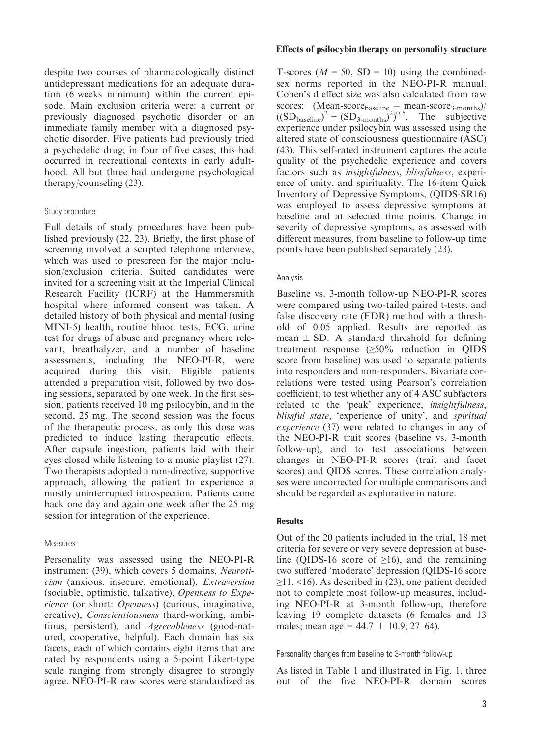despite two courses of pharmacologically distinct antidepressant medications for an adequate duration (6 weeks minimum) within the current episode. Main exclusion criteria were: a current or previously diagnosed psychotic disorder or an immediate family member with a diagnosed psychotic disorder. Five patients had previously tried a psychedelic drug; in four of five cases, this had occurred in recreational contexts in early adulthood. All but three had undergone psychological therapy/counseling (23).

## Study procedure

Full details of study procedures have been published previously (22, 23). Briefly, the first phase of screening involved a scripted telephone interview, which was used to prescreen for the major inclusion/exclusion criteria. Suited candidates were invited for a screening visit at the Imperial Clinical Research Facility (ICRF) at the Hammersmith hospital where informed consent was taken. A detailed history of both physical and mental (using MINI-5) health, routine blood tests, ECG, urine test for drugs of abuse and pregnancy where relevant, breathalyzer, and a number of baseline assessments, including the NEO-PI-R, were acquired during this visit. Eligible patients attended a preparation visit, followed by two dosing sessions, separated by one week. In the first session, patients received 10 mg psilocybin, and in the second, 25 mg. The second session was the focus of the therapeutic process, as only this dose was predicted to induce lasting therapeutic effects. After capsule ingestion, patients laid with their eyes closed while listening to a music playlist (27). Two therapists adopted a non-directive, supportive approach, allowing the patient to experience a mostly uninterrupted introspection. Patients came back one day and again one week after the 25 mg session for integration of the experience.

### Measures

Personality was assessed using the NEO-PI-R instrument (39), which covers 5 domains, Neuroticism (anxious, insecure, emotional), Extraversion (sociable, optimistic, talkative), Openness to Experience (or short: Openness) (curious, imaginative, creative), Conscientiousness (hard-working, ambitious, persistent), and Agreeableness (good-natured, cooperative, helpful). Each domain has six facets, each of which contains eight items that are rated by respondents using a 5-point Likert-type scale ranging from strongly disagree to strongly agree. NEO-PI-R raw scores were standardized as

## Effects of psilocybin therapy on personality structure

T-scores ( $M = 50$ , SD = 10) using the combinedsex norms reported in the NEO-PI-R manual. Cohen's d effect size was also calculated from raw scores:  $(Mean-score_{baseline} - mean-score_{3-months})/$  $((SD<sub>baseline</sub>)<sup>2</sup> + (SD<sub>3-months</sub>)<sup>2</sup>)<sup>0.5</sup>$ . The subjective experience under psilocybin was assessed using the altered state of consciousness questionnaire (ASC) (43). This self-rated instrument captures the acute quality of the psychedelic experience and covers factors such as insightfulness, blissfulness, experience of unity, and spirituality. The 16-item Quick Inventory of Depressive Symptoms, (QIDS-SR16) was employed to assess depressive symptoms at baseline and at selected time points. Change in severity of depressive symptoms, as assessed with different measures, from baseline to follow-up time points have been published separately (23).

## Analysis

Baseline vs. 3-month follow-up NEO-PI-R scores were compared using two-tailed paired t-tests, and false discovery rate (FDR) method with a threshold of 0.05 applied. Results are reported as mean  $\pm$  SD. A standard threshold for defining treatment response  $(\geq 50\%$  reduction in QIDS score from baseline) was used to separate patients into responders and non-responders. Bivariate correlations were tested using Pearson's correlation coefficient; to test whether any of 4 ASC subfactors related to the 'peak' experience, insightfulness, blissful state, 'experience of unity', and spiritual experience (37) were related to changes in any of the NEO-PI-R trait scores (baseline vs. 3-month follow-up), and to test associations between changes in NEO-PI-R scores (trait and facet scores) and QIDS scores. These correlation analyses were uncorrected for multiple comparisons and should be regarded as explorative in nature.

## **Results**

Out of the 20 patients included in the trial, 18 met criteria for severe or very severe depression at baseline (QIDS-16 score of  $\geq 16$ ), and the remaining two suffered 'moderate' depression (QIDS-16 score  $\geq$ 11, <16). As described in (23), one patient decided not to complete most follow-up measures, including NEO-PI-R at 3-month follow-up, therefore leaving 19 complete datasets (6 females and 13 males; mean age =  $44.7 \pm 10.9$ ; 27–64).

Personality changes from baseline to 3-month follow-up

As listed in Table 1 and illustrated in Fig. 1, three out of the five NEO-PI-R domain scores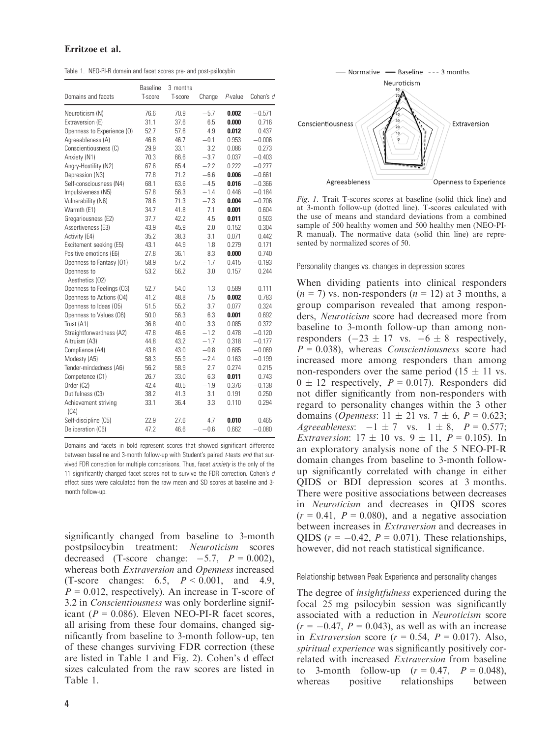Table 1. NEO-PI-R domain and facet scores pre- and post-psilocybin

| Domains and facets           | <b>Baseline</b><br>T-score | 3 months<br>T-score | Change | P-value | Cohen's a |
|------------------------------|----------------------------|---------------------|--------|---------|-----------|
| Neuroticism (N)              | 76.6                       | 70.9                | $-5.7$ | 0.002   | $-0.571$  |
| Extraversion (E)             | 31.1                       | 37.6                | 6.5    | 0.000   | 0.716     |
| Openness to Experience (O)   | 52.7                       | 57.6                | 4.9    | 0.012   | 0.437     |
| Agreeableness (A)            | 46.8                       | 46.7                | $-0.1$ | 0.953   | $-0.006$  |
| Conscientiousness (C)        | 29.9                       | 33.1                | 3.2    | 0.086   | 0.273     |
| Anxiety (N1)                 | 70.3                       | 66.6                | $-3.7$ | 0.037   | $-0.403$  |
| Angry-Hostility (N2)         | 67.6                       | 65.4                | $-2.2$ | 0.222   | $-0.277$  |
| Depression (N3)              | 77.8                       | 71.2                | $-6.6$ | 0.006   | $-0.661$  |
| Self-consciousness (N4)      | 68.1                       | 63.6                | $-4.5$ | 0.016   | $-0.366$  |
| Impulsiveness (N5)           | 57.8                       | 56.3                | $-1.4$ | 0.446   | $-0.184$  |
| Vulnerability (N6)           | 78.6                       | 71.3                | $-7.3$ | 0.004   | $-0.706$  |
| Warmth (E1)                  | 34.7                       | 41.8                | 7.1    | 0.001   | 0.604     |
| Gregariousness (E2)          | 37.7                       | 42.2                | 4.5    | 0.011   | 0.503     |
| Assertiveness (E3)           | 43.9                       | 45.9                | 2.0    | 0.152   | 0.304     |
| Activity (E4)                | 35.2                       | 38.3                | 3.1    | 0.071   | 0.442     |
| Excitement seeking (E5)      | 43.1                       | 44.9                | 1.8    | 0.279   | 0.171     |
| Positive emotions (E6)       | 27.8                       | 36.1                | 8.3    | 0.000   | 0.740     |
| Openness to Fantasy (01)     | 58.9                       | 57.2                | $-1.7$ | 0.415   | $-0.193$  |
| Openness to                  | 53.2                       | 56.2                | 3.0    | 0.157   | 0.244     |
| Aesthetics (02)              |                            |                     |        |         |           |
| Openness to Feelings (03)    | 52.7                       | 54.0                | 1.3    | 0.589   | 0.111     |
| Openness to Actions (04)     | 41.2                       | 48.8                | 7.5    | 0.002   | 0.783     |
| Openness to Ideas (05)       | 51.5                       | 55.2                | 3.7    | 0.077   | 0.324     |
| Openness to Values (O6)      | 50.0                       | 56.3                | 6.3    | 0.001   | 0.692     |
| Trust (A1)                   | 36.8                       | 40.0                | 3.3    | 0.085   | 0.372     |
| Straightforwardness (A2)     | 47.8                       | 46.6                | $-1.2$ | 0.478   | $-0.120$  |
| Altruism (A3)                | 44.8                       | 43.2                | $-1.7$ | 0.318   | $-0.177$  |
| Compliance (A4)              | 43.8                       | 43.0                | $-0.8$ | 0.685   | $-0.069$  |
| Modesty (A5)                 | 58.3                       | 55.9                | $-2.4$ | 0.163   | $-0.199$  |
| Tender-mindedness (A6)       | 56.2                       | 58.9                | 2.7    | 0.274   | 0.215     |
| Competence (C1)              | 26.7                       | 33.0                | 6.3    | 0.011   | 0.743     |
| Order (C2)                   | 42.4                       | 40.5                | $-1.9$ | 0.376   | $-0.138$  |
| Dutifulness (C3)             | 38.2                       | 41.3                | 3.1    | 0.191   | 0.250     |
| Achievement striving<br>(C4) | 33.1                       | 36.4                | 3.3    | 0.110   | 0.294     |
| Self-discipline (C5)         | 22.9                       | 27.6                | 4.7    | 0.010   | 0.465     |
| Deliberation (C6)            | 47.2                       | 46.6                | $-0.6$ | 0.662   | $-0.080$  |

Domains and facets in bold represent scores that showed significant difference between baseline and 3-month follow-up with Student's paired t-tests and that survived FDR correction for multiple comparisons. Thus, facet anxiety is the only of the 11 significantly changed facet scores not to survive the FDR correction. Cohen's  $d$ effect sizes were calculated from the raw mean and SD scores at baseline and 3 month follow-up.

significantly changed from baseline to 3-month postpsilocybin treatment: Neuroticism scores decreased (T-score change:  $-5.7$ ,  $P = 0.002$ ), whereas both Extraversion and Openness increased (T-score changes:  $6.5, P < 0.001, and 4.9,$  $P = 0.012$ , respectively). An increase in T-score of 3.2 in Conscientiousness was only borderline significant ( $P = 0.086$ ). Eleven NEO-PI-R facet scores, all arising from these four domains, changed significantly from baseline to 3-month follow-up, ten of these changes surviving FDR correction (these are listed in Table 1 and Fig. 2). Cohen's d effect sizes calculated from the raw scores are listed in Table 1.



Fig. 1. Trait T-scores scores at baseline (solid thick line) and at 3-month follow-up (dotted line). T-scores calculated with the use of means and standard deviations from a combined sample of 500 healthy women and 500 healthy men (NEO-PI-R manual). The normative data (solid thin line) are represented by normalized scores of 50.

Personality changes vs. changes in depression scores

When dividing patients into clinical responders  $(n = 7)$  vs. non-responders  $(n = 12)$  at 3 months, a group comparison revealed that among responders, Neuroticism score had decreased more from baseline to 3-month follow-up than among nonresponders  $(-23 \pm 17 \text{ vs. } -6 \pm 8 \text{ respectively},$  $P = 0.038$ ), whereas *Conscientiousness* score had increased more among responders than among non-responders over the same period  $(15 \pm 11 \text{ vs.})$  $0 \pm 12$  respectively,  $P = 0.017$ ). Responders did not differ significantly from non-responders with regard to personality changes within the 3 other domains (*Openness*:  $11 \pm 21$  vs.  $7 \pm 6$ ,  $P = 0.623$ ; Agreeableness:  $-1 \pm 7$  vs.  $1 \pm 8$ ,  $P = 0.577$ ; *Extraversion*:  $17 \pm 10$  vs.  $9 \pm 11$ ,  $P = 0.105$ ). In an exploratory analysis none of the 5 NEO-PI-R domain changes from baseline to 3-month followup significantly correlated with change in either QIDS or BDI depression scores at 3 months. There were positive associations between decreases in Neuroticism and decreases in QIDS scores  $(r = 0.41, P = 0.080)$ , and a negative association between increases in Extraversion and decreases in QIDS ( $r = -0.42$ ,  $P = 0.071$ ). These relationships, however, did not reach statistical significance.

#### Relationship between Peak Experience and personality changes

The degree of *insightfulness* experienced during the focal 25 mg psilocybin session was significantly associated with a reduction in Neuroticism score  $(r = -0.47, P = 0.043)$ , as well as with an increase in *Extraversion* score  $(r = 0.54, P = 0.017)$ . Also, spiritual experience was significantly positively correlated with increased Extraversion from baseline to 3-month follow-up  $(r = 0.47, P = 0.048)$ , whereas positive relationships between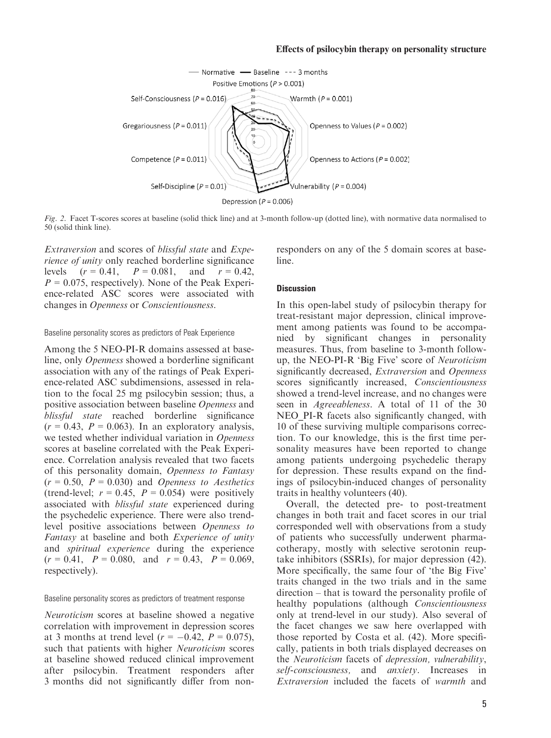

Fig. 2. Facet T-scores scores at baseline (solid thick line) and at 3-month follow-up (dotted line), with normative data normalised to 50 (solid think line).

Extraversion and scores of blissful state and Experience of unity only reached borderline significance levels  $(r = 0.41, P = 0.081, and r = 0.42,$  $P = 0.075$ , respectively). None of the Peak Experience-related ASC scores were associated with changes in Openness or Conscientiousness.

#### Baseline personality scores as predictors of Peak Experience

Among the 5 NEO-PI-R domains assessed at baseline, only Openness showed a borderline significant association with any of the ratings of Peak Experience-related ASC subdimensions, assessed in relation to the focal 25 mg psilocybin session; thus, a positive association between baseline Openness and blissful state reached borderline significance  $(r = 0.43, P = 0.063)$ . In an exploratory analysis, we tested whether individual variation in Openness scores at baseline correlated with the Peak Experience. Correlation analysis revealed that two facets of this personality domain, Openness to Fantasy  $(r = 0.50, P = 0.030)$  and *Openness to Aesthetics* (trend-level;  $r = 0.45$ ,  $P = 0.054$ ) were positively associated with blissful state experienced during the psychedelic experience. There were also trendlevel positive associations between Openness to Fantasy at baseline and both Experience of unity and spiritual experience during the experience  $(r = 0.41, P = 0.080, \text{ and } r = 0.43, P = 0.069,$ respectively).

#### Baseline personality scores as predictors of treatment response

Neuroticism scores at baseline showed a negative correlation with improvement in depression scores at 3 months at trend level  $(r = -0.42, P = 0.075)$ , such that patients with higher Neuroticism scores at baseline showed reduced clinical improvement after psilocybin. Treatment responders after 3 months did not significantly differ from nonresponders on any of the 5 domain scores at baseline.

#### **Discussion**

In this open-label study of psilocybin therapy for treat-resistant major depression, clinical improvement among patients was found to be accompanied by significant changes in personality measures. Thus, from baseline to 3-month followup, the NEO-PI-R 'Big Five' score of Neuroticism significantly decreased, *Extraversion* and *Openness* scores significantly increased, Conscientiousness showed a trend-level increase, and no changes were seen in Agreeableness. A total of 11 of the 30 NEO PI-R facets also significantly changed, with 10 of these surviving multiple comparisons correction. To our knowledge, this is the first time personality measures have been reported to change among patients undergoing psychedelic therapy for depression. These results expand on the findings of psilocybin-induced changes of personality traits in healthy volunteers (40).

Overall, the detected pre- to post-treatment changes in both trait and facet scores in our trial corresponded well with observations from a study of patients who successfully underwent pharmacotherapy, mostly with selective serotonin reuptake inhibitors (SSRIs), for major depression (42). More specifically, the same four of 'the Big Five' traits changed in the two trials and in the same direction – that is toward the personality profile of healthy populations (although Conscientiousness only at trend-level in our study). Also several of the facet changes we saw here overlapped with those reported by Costa et al. (42). More specifically, patients in both trials displayed decreases on the Neuroticism facets of depression, vulnerability, self-consciousness, and *anxiety*. Increases in Extraversion included the facets of warmth and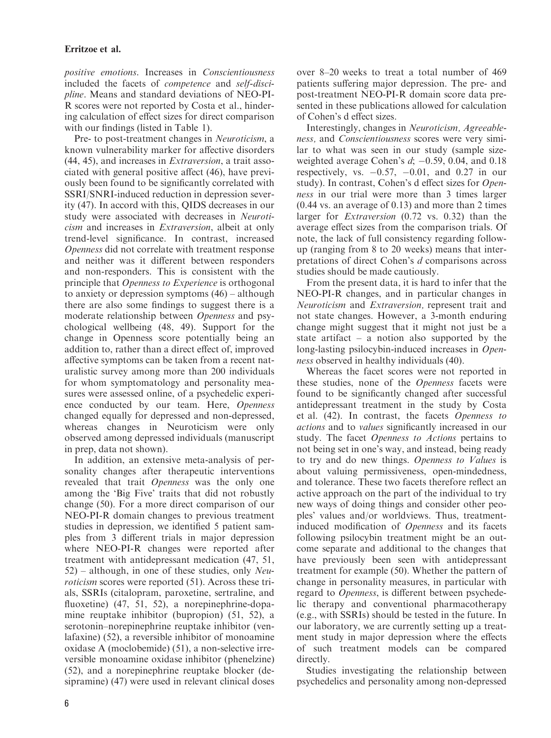positive emotions. Increases in Conscientiousness included the facets of competence and self-discipline. Means and standard deviations of NEO-PI-R scores were not reported by Costa et al., hindering calculation of effect sizes for direct comparison with our findings (listed in Table 1).

Pre- to post-treatment changes in Neuroticism, a known vulnerability marker for affective disorders (44, 45), and increases in Extraversion, a trait associated with general positive affect (46), have previously been found to be significantly correlated with SSRI/SNRI-induced reduction in depression severity (47). In accord with this, QIDS decreases in our study were associated with decreases in Neuroticism and increases in Extraversion, albeit at only trend-level significance. In contrast, increased Openness did not correlate with treatment response and neither was it different between responders and non-responders. This is consistent with the principle that Openness to Experience is orthogonal to anxiety or depression symptoms (46) – although there are also some findings to suggest there is a moderate relationship between Openness and psychological wellbeing (48, 49). Support for the change in Openness score potentially being an addition to, rather than a direct effect of, improved affective symptoms can be taken from a recent naturalistic survey among more than 200 individuals for whom symptomatology and personality measures were assessed online, of a psychedelic experience conducted by our team. Here, Openness changed equally for depressed and non-depressed, whereas changes in Neuroticism were only observed among depressed individuals (manuscript in prep, data not shown).

In addition, an extensive meta-analysis of personality changes after therapeutic interventions revealed that trait Openness was the only one among the 'Big Five' traits that did not robustly change (50). For a more direct comparison of our NEO-PI-R domain changes to previous treatment studies in depression, we identified 5 patient samples from 3 different trials in major depression where NEO-PI-R changes were reported after treatment with antidepressant medication (47, 51,  $52$ ) – although, in one of these studies, only *Neu*roticism scores were reported (51). Across these trials, SSRIs (citalopram, paroxetine, sertraline, and fluoxetine) (47, 51, 52), a norepinephrine-dopamine reuptake inhibitor (bupropion) (51, 52), a serotonin–norepinephrine reuptake inhibitor (venlafaxine) (52), a reversible inhibitor of monoamine oxidase A (moclobemide) (51), a non-selective irreversible monoamine oxidase inhibitor (phenelzine) (52), and a norepinephrine reuptake blocker (desipramine) (47) were used in relevant clinical doses

over 8–20 weeks to treat a total number of 469 patients suffering major depression. The pre- and post-treatment NEO-PI-R domain score data presented in these publications allowed for calculation of Cohen's d effect sizes.

Interestingly, changes in Neuroticism, Agreeableness, and Conscientiousness scores were very similar to what was seen in our study (sample sizeweighted average Cohen's  $d$ ;  $-0.59$ , 0.04, and 0.18 respectively, vs.  $-0.57$ ,  $-0.01$ , and 0.27 in our study). In contrast, Cohen's d effect sizes for Openness in our trial were more than 3 times larger (0.44 vs. an average of 0.13) and more than 2 times larger for Extraversion (0.72 vs. 0.32) than the average effect sizes from the comparison trials. Of note, the lack of full consistency regarding followup (ranging from 8 to 20 weeks) means that interpretations of direct Cohen's d comparisons across studies should be made cautiously.

From the present data, it is hard to infer that the NEO-PI-R changes, and in particular changes in Neuroticism and Extraversion, represent trait and not state changes. However, a 3-month enduring change might suggest that it might not just be a state artifact – a notion also supported by the long-lasting psilocybin-induced increases in *Open*ness observed in healthy individuals (40).

Whereas the facet scores were not reported in these studies, none of the Openness facets were found to be significantly changed after successful antidepressant treatment in the study by Costa et al. (42). In contrast, the facets Openness to actions and to values significantly increased in our study. The facet Openness to Actions pertains to not being set in one's way, and instead, being ready to try and do new things. Openness to Values is about valuing permissiveness, open-mindedness, and tolerance. These two facets therefore reflect an active approach on the part of the individual to try new ways of doing things and consider other peoples' values and/or worldviews. Thus, treatmentinduced modification of Openness and its facets following psilocybin treatment might be an outcome separate and additional to the changes that have previously been seen with antidepressant treatment for example (50). Whether the pattern of change in personality measures, in particular with regard to Openness, is different between psychedelic therapy and conventional pharmacotherapy (e.g., with SSRIs) should be tested in the future. In our laboratory, we are currently setting up a treatment study in major depression where the effects of such treatment models can be compared directly.

Studies investigating the relationship between psychedelics and personality among non-depressed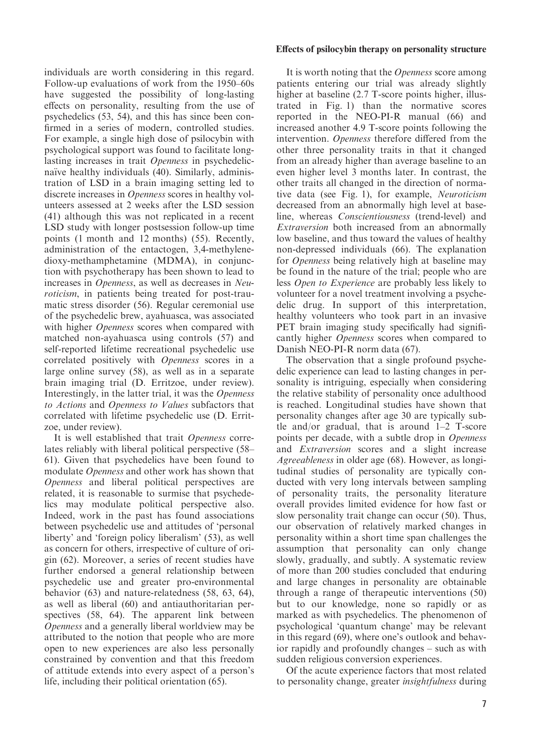individuals are worth considering in this regard. Follow-up evaluations of work from the 1950–60s have suggested the possibility of long-lasting effects on personality, resulting from the use of psychedelics (53, 54), and this has since been confirmed in a series of modern, controlled studies. For example, a single high dose of psilocybin with psychological support was found to facilitate longlasting increases in trait Openness in psychedelicnaïve healthy individuals (40). Similarly, administration of LSD in a brain imaging setting led to discrete increases in Openness scores in healthy volunteers assessed at 2 weeks after the LSD session (41) although this was not replicated in a recent LSD study with longer postsession follow-up time points (1 month and 12 months) (55). Recently, administration of the entactogen, 3,4-methylenedioxy-methamphetamine (MDMA), in conjunction with psychotherapy has been shown to lead to increases in Openness, as well as decreases in Neuroticism, in patients being treated for post-traumatic stress disorder (56). Regular ceremonial use of the psychedelic brew, ayahuasca, was associated with higher *Openness* scores when compared with matched non-ayahuasca using controls (57) and self-reported lifetime recreational psychedelic use correlated positively with Openness scores in a large online survey (58), as well as in a separate brain imaging trial (D. Erritzoe, under review). Interestingly, in the latter trial, it was the Openness to Actions and Openness to Values subfactors that correlated with lifetime psychedelic use (D. Erritzoe, under review).

It is well established that trait Openness correlates reliably with liberal political perspective (58– 61). Given that psychedelics have been found to modulate Openness and other work has shown that Openness and liberal political perspectives are related, it is reasonable to surmise that psychedelics may modulate political perspective also. Indeed, work in the past has found associations between psychedelic use and attitudes of 'personal liberty' and 'foreign policy liberalism' (53), as well as concern for others, irrespective of culture of origin (62). Moreover, a series of recent studies have further endorsed a general relationship between psychedelic use and greater pro-environmental behavior (63) and nature-relatedness (58, 63, 64), as well as liberal (60) and antiauthoritarian perspectives (58, 64). The apparent link between Openness and a generally liberal worldview may be attributed to the notion that people who are more open to new experiences are also less personally constrained by convention and that this freedom of attitude extends into every aspect of a person's life, including their political orientation (65).

## Effects of psilocybin therapy on personality structure

It is worth noting that the *Openness* score among patients entering our trial was already slightly higher at baseline (2.7 T-score points higher, illustrated in Fig. 1) than the normative scores reported in the NEO-PI-R manual (66) and increased another 4.9 T-score points following the intervention. Openness therefore differed from the other three personality traits in that it changed from an already higher than average baseline to an even higher level 3 months later. In contrast, the other traits all changed in the direction of normative data (see Fig. 1), for example, Neuroticism decreased from an abnormally high level at baseline, whereas Conscientiousness (trend-level) and Extraversion both increased from an abnormally low baseline, and thus toward the values of healthy non-depressed individuals (66). The explanation for Openness being relatively high at baseline may be found in the nature of the trial; people who are less Open to Experience are probably less likely to volunteer for a novel treatment involving a psychedelic drug. In support of this interpretation, healthy volunteers who took part in an invasive PET brain imaging study specifically had significantly higher Openness scores when compared to Danish NEO-PI-R norm data (67).

The observation that a single profound psychedelic experience can lead to lasting changes in personality is intriguing, especially when considering the relative stability of personality once adulthood is reached. Longitudinal studies have shown that personality changes after age 30 are typically subtle and/or gradual, that is around 1–2 T-score points per decade, with a subtle drop in Openness and Extraversion scores and a slight increase Agreeableness in older age (68). However, as longitudinal studies of personality are typically conducted with very long intervals between sampling of personality traits, the personality literature overall provides limited evidence for how fast or slow personality trait change can occur (50). Thus, our observation of relatively marked changes in personality within a short time span challenges the assumption that personality can only change slowly, gradually, and subtly. A systematic review of more than 200 studies concluded that enduring and large changes in personality are obtainable through a range of therapeutic interventions (50) but to our knowledge, none so rapidly or as marked as with psychedelics. The phenomenon of psychological 'quantum change' may be relevant in this regard (69), where one's outlook and behavior rapidly and profoundly changes – such as with sudden religious conversion experiences.

Of the acute experience factors that most related to personality change, greater insightfulness during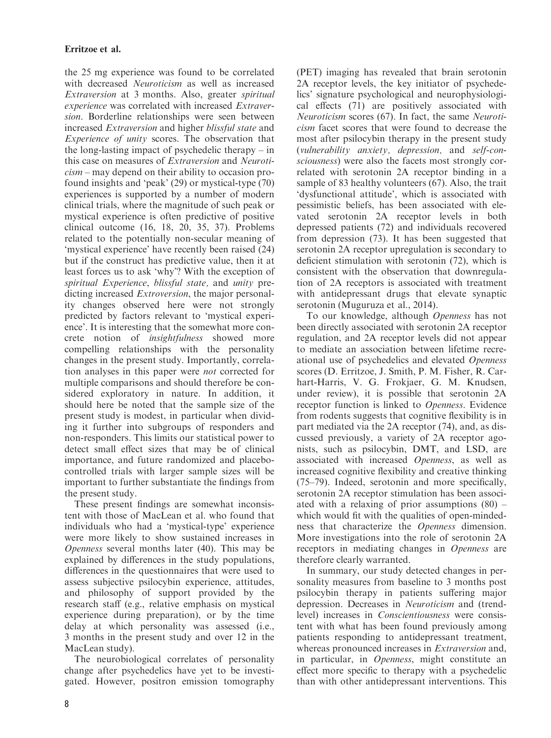the 25 mg experience was found to be correlated with decreased Neuroticism as well as increased Extraversion at 3 months. Also, greater spiritual experience was correlated with increased Extraversion. Borderline relationships were seen between increased Extraversion and higher blissful state and Experience of unity scores. The observation that the long-lasting impact of psychedelic therapy – in this case on measures of Extraversion and Neuroti $cism - may depend on their ability to occasion pro$ found insights and 'peak' (29) or mystical-type (70) experiences is supported by a number of modern clinical trials, where the magnitude of such peak or mystical experience is often predictive of positive clinical outcome (16, 18, 20, 35, 37). Problems related to the potentially non-secular meaning of 'mystical experience' have recently been raised (24) but if the construct has predictive value, then it at least forces us to ask 'why'? With the exception of spiritual Experience, blissful state, and unity predicting increased Extroversion, the major personality changes observed here were not strongly predicted by factors relevant to 'mystical experience'. It is interesting that the somewhat more concrete notion of insightfulness showed more compelling relationships with the personality changes in the present study. Importantly, correlation analyses in this paper were not corrected for multiple comparisons and should therefore be considered exploratory in nature. In addition, it should here be noted that the sample size of the present study is modest, in particular when dividing it further into subgroups of responders and non-responders. This limits our statistical power to detect small effect sizes that may be of clinical importance, and future randomized and placebocontrolled trials with larger sample sizes will be important to further substantiate the findings from the present study.

These present findings are somewhat inconsistent with those of MacLean et al. who found that individuals who had a 'mystical-type' experience were more likely to show sustained increases in Openness several months later (40). This may be explained by differences in the study populations, differences in the questionnaires that were used to assess subjective psilocybin experience, attitudes, and philosophy of support provided by the research staff (e.g., relative emphasis on mystical experience during preparation), or by the time delay at which personality was assessed (i.e., 3 months in the present study and over 12 in the MacLean study).

The neurobiological correlates of personality change after psychedelics have yet to be investigated. However, positron emission tomography (PET) imaging has revealed that brain serotonin 2A receptor levels, the key initiator of psychedelics' signature psychological and neurophysiological effects (71) are positively associated with Neuroticism scores (67). In fact, the same Neuroticism facet scores that were found to decrease the most after psilocybin therapy in the present study (vulnerability anxiety, depression, and self-consciousness) were also the facets most strongly correlated with serotonin 2A receptor binding in a sample of 83 healthy volunteers (67). Also, the trait 'dysfunctional attitude', which is associated with pessimistic beliefs, has been associated with elevated serotonin 2A receptor levels in both depressed patients (72) and individuals recovered from depression (73). It has been suggested that serotonin 2A receptor upregulation is secondary to deficient stimulation with serotonin (72), which is consistent with the observation that downregulation of 2A receptors is associated with treatment with antidepressant drugs that elevate synaptic serotonin (Muguruza et al., 2014).

To our knowledge, although Openness has not been directly associated with serotonin 2A receptor regulation, and 2A receptor levels did not appear to mediate an association between lifetime recreational use of psychedelics and elevated Openness scores (D. Erritzoe, J. Smith, P. M. Fisher, R. Carhart-Harris, V. G. Frokjaer, G. M. Knudsen, under review), it is possible that serotonin 2A receptor function is linked to Openness. Evidence from rodents suggests that cognitive flexibility is in part mediated via the 2A receptor (74), and, as discussed previously, a variety of 2A receptor agonists, such as psilocybin, DMT, and LSD, are associated with increased Openness, as well as increased cognitive flexibility and creative thinking (75–79). Indeed, serotonin and more specifically, serotonin 2A receptor stimulation has been associated with a relaxing of prior assumptions (80) – which would fit with the qualities of open-mindedness that characterize the Openness dimension. More investigations into the role of serotonin 2A receptors in mediating changes in Openness are therefore clearly warranted.

In summary, our study detected changes in personality measures from baseline to 3 months post psilocybin therapy in patients suffering major depression. Decreases in Neuroticism and (trendlevel) increases in Conscientiousness were consistent with what has been found previously among patients responding to antidepressant treatment, whereas pronounced increases in *Extraversion* and, in particular, in Openness, might constitute an effect more specific to therapy with a psychedelic than with other antidepressant interventions. This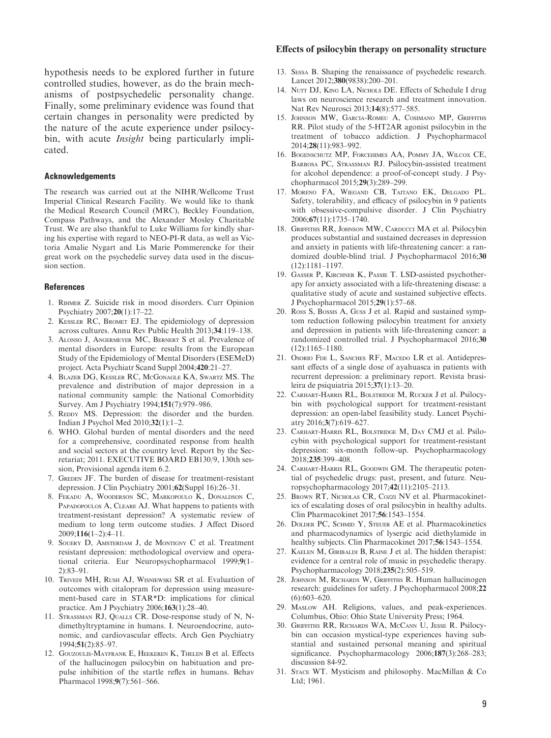hypothesis needs to be explored further in future controlled studies, however, as do the brain mechanisms of postpsychedelic personality change. Finally, some preliminary evidence was found that certain changes in personality were predicted by the nature of the acute experience under psilocybin, with acute *Insight* being particularly implicated.

#### Acknowledgements

The research was carried out at the NIHR/Wellcome Trust Imperial Clinical Research Facility. We would like to thank the Medical Research Council (MRC), Beckley Foundation, Compass Pathways, and the Alexander Mosley Charitable Trust. We are also thankful to Luke Williams for kindly sharing his expertise with regard to NEO-PI-R data, as well as Victoria Amalie Nygart and Lis Marie Pommerencke for their great work on the psychedelic survey data used in the discussion section.

#### **References**

- 1. Rihmer Z. Suicide risk in mood disorders. Curr Opinion Psychiatry 2007;20(1):17–22.
- 2. Kessler RC, Bromet EJ. The epidemiology of depression across cultures. Annu Rev Public Health 2013;34:119–138.
- 3. Alonso J, Angermeyer MC, Bernert S et al. Prevalence of mental disorders in Europe: results from the European Study of the Epidemiology of Mental Disorders (ESEMeD) project. Acta Psychiatr Scand Suppl 2004;420:21–27.
- 4. Blazer DG, Kessler RC, McGonagle KA, Swartz MS. The prevalence and distribution of major depression in a national community sample: the National Comorbidity Survey. Am J Psychiatry 1994;151(7):979–986.
- 5. REDDY MS. Depression: the disorder and the burden. Indian J Psychol Med 2010;32(1):1–2.
- 6. WHO. Global burden of mental disorders and the need for a comprehensive, coordinated response from health and social sectors at the country level. Report by the Secretariat; 2011. EXECUTIVE BOARD EB130/9, 130th session, Provisional agenda item 6.2.
- 7. GREDEN JF. The burden of disease for treatment-resistant depression. J Clin Psychiatry 2001;62(Suppl 16):26–31.
- 8. Fekadu A, Wooderson SC, Markopoulo K, Donaldson C, PAPADOPOULOS A, CLEARE AJ. What happens to patients with treatment-resistant depression? A systematic review of medium to long term outcome studies. J Affect Disord 2009;116(1–2):4–11.
- 9. SOUERY D, AMSTERDAM J, de MONTIGNY C et al. Treatment resistant depression: methodological overview and operational criteria. Eur Neuropsychopharmacol 1999;9(1– 2):83–91.
- 10. Trivedi MH, Rush AJ, Wisniewski SR et al. Evaluation of outcomes with citalopram for depression using measurement-based care in STAR\*D: implications for clinical practice. Am J Psychiatry 2006;163(1):28–40.
- 11. STRASSMAN RJ, QUALLS CR. Dose-response study of N, Ndimethyltryptamine in humans. I. Neuroendocrine, autonomic, and cardiovascular effects. Arch Gen Psychiatry 1994;51(2):85–97.
- 12. Gouzoulis-Mayfrank E, Heekeren K, Thelen B et al. Effects of the hallucinogen psilocybin on habituation and prepulse inhibition of the startle reflex in humans. Behav Pharmacol 1998;9(7):561–566.

#### Effects of psilocybin therapy on personality structure

- 13. Sessa B. Shaping the renaissance of psychedelic research. Lancet 2012;380(9838):200–201.
- 14. NUTT DJ, KING LA, NICHOLS DE. Effects of Schedule I drug laws on neuroscience research and treatment innovation. Nat Rev Neurosci 2013;14(8):577–585.
- 15. Johnson MW, Garcia-Romeu A, Cosimano MP, Griffiths RR. Pilot study of the 5-HT2AR agonist psilocybin in the treatment of tobacco addiction. J Psychopharmacol 2014;28(11):983–992.
- 16. Bogenschutz MP, Forcehimes AA, Pommy JA, Wilcox CE, Barbosa PC, Strassman RJ. Psilocybin-assisted treatment for alcohol dependence: a proof-of-concept study. J Psychopharmacol 2015;29(3):289–299.
- 17. Moreno FA, Wiegand CB, Taitano EK, Delgado PL. Safety, tolerability, and efficacy of psilocybin in 9 patients with obsessive-compulsive disorder. J Clin Psychiatry 2006;67(11):1735–1740.
- 18. Griffiths RR, Johnson MW, Carducci MA et al. Psilocybin produces substantial and sustained decreases in depression and anxiety in patients with life-threatening cancer: a randomized double-blind trial. J Psychopharmacol 2016;30 (12):1181–1197.
- 19. Gasser P, Kirchner K, Passie T. LSD-assisted psychotherapy for anxiety associated with a life-threatening disease: a qualitative study of acute and sustained subjective effects. J Psychopharmacol 2015;29(1):57–68.
- 20. Ross S, Bossis A, Guss J et al. Rapid and sustained symptom reduction following psilocybin treatment for anxiety and depression in patients with life-threatening cancer: a randomized controlled trial. J Psychopharmacol 2016;30 (12):1165–1180.
- 21. Osorio FDE L, SANCHES RF, MACEDO LR et al. Antidepressant effects of a single dose of ayahuasca in patients with recurrent depression: a preliminary report. Revista brasileira de psiquiatria 2015;37(1):13–20.
- 22. Carhart-Harris RL, Bolstridge M, Rucker J et al. Psilocybin with psychological support for treatment-resistant depression: an open-label feasibility study. Lancet Psychiatry 2016;3(7):619–627.
- 23. Carhart-Harris RL, Bolstridge M, Day CMJ et al. Psilocybin with psychological support for treatment-resistant depression: six-month follow-up. Psychopharmacology 2018;235:399–408.
- 24. Carhart-Harris RL, Goodwin GM. The therapeutic potential of psychedelic drugs: past, present, and future. Neuropsychopharmacology 2017;42(11):2105–2113.
- 25. Brown RT, Nicholas CR, Cozzi NV et al. Pharmacokinetics of escalating doses of oral psilocybin in healthy adults. Clin Pharmacokinet 2017;56:1543–1554.
- 26. DOLDER PC, SCHMID Y, STEUER AE et al. Pharmacokinetics and pharmacodynamics of lysergic acid diethylamide in healthy subjects. Clin Pharmacokinet 2017;56:1543–1554.
- 27. Kaelen M, Giribaldi B, Raine J et al. The hidden therapist: evidence for a central role of music in psychedelic therapy. Psychopharmacology 2018;235(2):505–519.
- 28. Johnson M, Richards W, Griffiths R. Human hallucinogen research: guidelines for safety. J Psychopharmacol 2008;22 (6):603–620.
- 29. Maslow AH. Religions, values, and peak-experiences. Columbus, Ohio: Ohio State University Press; 1964.
- 30. Griffiths RR, Richards WA, McCann U, Jesse R. Psilocybin can occasion mystical-type experiences having substantial and sustained personal meaning and spiritual significance. Psychopharmacology 2006;187(3):268–283; discussion 84-92.
- 31. Stace WT. Mysticism and philosophy. MacMillan & Co Ltd; 1961.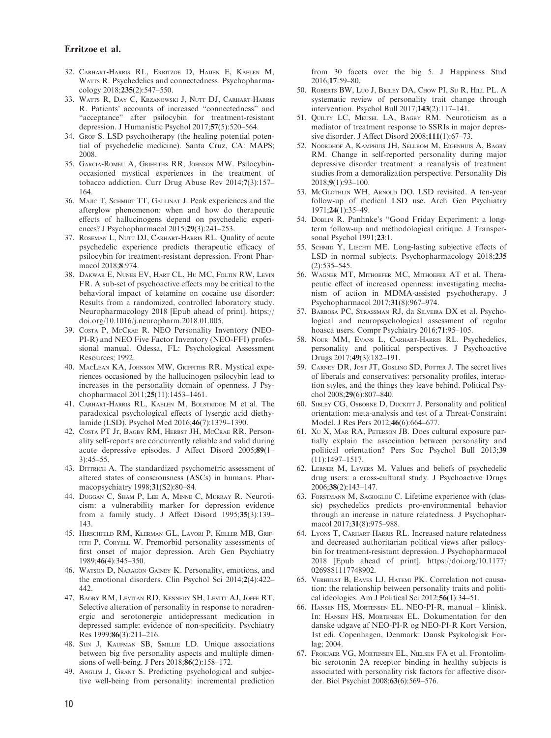- 32. Carhart-Harris RL, Erritzoe D, Haijen E, Kaelen M, WATTS R. Psychedelics and connectedness. Psychopharmacology 2018;235(2):547–550.
- 33. Watts R, Day C, Krzanowski J, Nutt DJ, Carhart-Harris R. Patients' accounts of increased "connectedness" and "acceptance" after psilocybin for treatment-resistant depression. J Humanistic Psychol 2017;57(5):520–564.
- 34. Grof S. LSD psychotherapy (the healing potential potential of psychedelic medicine). Santa Cruz, CA: MAPS; 2008.
- 35. Garcia-Romeu A, Griffiths RR, Johnson MW. Psilocybinoccasioned mystical experiences in the treatment of tobacco addiction. Curr Drug Abuse Rev 2014;7(3):157– 164.
- 36. MAJIC T, SCHMIDT TT, GALLINAT J. Peak experiences and the afterglow phenomenon: when and how do therapeutic effects of hallucinogens depend on psychedelic experiences? J Psychopharmacol 2015;29(3):241–253.
- 37. ROSEMAN L, NUTT DJ, CARHART-HARRIS RL. Quality of acute psychedelic experience predicts therapeutic efficacy of psilocybin for treatment-resistant depression. Front Pharmacol 2018;8:974.
- 38. Dakwar E, Nunes EV, Hart CL, Hu MC, Foltin RW, Levin FR. A sub-set of psychoactive effects may be critical to the behavioral impact of ketamine on cocaine use disorder: Results from a randomized, controlled laboratory study. Neuropharmacology 2018 [Epub ahead of print]. [https://](https://doi.org/10.1016/j.neuropharm.2018.01.005) [doi.org/10.1016/j.neuropharm.2018.01.005](https://doi.org/10.1016/j.neuropharm.2018.01.005).
- 39. Costa P, McCrae R. NEO Personality Inventory (NEO-PI-R) and NEO Five Factor Inventory (NEO-FFI) professional manual. Odessa, FL: Psychological Assessment Resources; 1992.
- 40. MacLean KA, Johnson MW, Griffiths RR. Mystical experiences occasioned by the hallucinogen psilocybin lead to increases in the personality domain of openness. J Psychopharmacol 2011;25(11):1453–1461.
- 41. Carhart-Harris RL, Kaelen M, Bolstridge M et al. The paradoxical psychological effects of lysergic acid diethylamide (LSD). Psychol Med 2016;46(7):1379–1390.
- 42. Costa PT Jr, Bagby RM, Herbst JH, McCrae RR. Personality self-reports are concurrently reliable and valid during acute depressive episodes. J Affect Disord 2005;89(1– 3):45–55.
- 43. DITTRICH A. The standardized psychometric assessment of altered states of consciousness (ASCs) in humans. Pharmacopsychiatry 1998;31(S2):80–84.
- 44. Duggan C, Sham P, Lee A, Minne C, Murray R. Neuroticism: a vulnerability marker for depression evidence from a family study. J Affect Disord 1995;35(3):139– 143.
- 45. Hirschfeld RM, Klerman GL, Lavori P, Keller MB, Grif-FITH P, CORYELL W. Premorbid personality assessments of first onset of major depression. Arch Gen Psychiatry 1989;46(4):345–350.
- 46. Watson D, Naragon-Gainey K. Personality, emotions, and the emotional disorders. Clin Psychol Sci 2014;2(4):422– 442.
- 47. Bagby RM, Levitan RD, Kennedy SH, Levitt AJ, Joffe RT. Selective alteration of personality in response to noradrenergic and serotonergic antidepressant medication in depressed sample: evidence of non-specificity. Psychiatry Res 1999;86(3):211–216.
- 48. Sun J, Kaufman SB, Smillie LD. Unique associations between big five personality aspects and multiple dimensions of well-being. J Pers 2018;86(2):158–172.
- 49. Anglim J, Grant S. Predicting psychological and subjective well-being from personality: incremental prediction

from 30 facets over the big 5. J Happiness Stud 2016;17:59–80.

- 50. Roberts BW, Luo J, Briley DA, Chow PI, Su R, Hill PL. A systematic review of personality trait change through intervention. Psychol Bull 2017;143(2):117–141.
- 51. Quilty LC, Meusel LA, Bagby RM. Neuroticism as a mediator of treatment response to SSRIs in major depressive disorder. J Affect Disord 2008;111(1):67–73.
- 52. Noordhof A, Kamphuis JH, Sellbom M, Eigenhuis A, Bagby RM. Change in self-reported personality during major depressive disorder treatment: a reanalysis of treatment studies from a demoralization perspective. Personality Dis 2018;9(1):93–100.
- 53. McGlothlin WH, Arnold DO. LSD revisited. A ten-year follow-up of medical LSD use. Arch Gen Psychiatry 1971;24(1):35–49.
- 54. Doblin R. Panhnke's "Good Friday Experiment: a longterm follow-up and methodological critique. J Transpersonal Psychol 1991;23:1.
- 55. SCHMID Y, LIECHTI ME. Long-lasting subjective effects of LSD in normal subjects. Psychopharmacology 2018;235 (2):535–545.
- 56. Wagner MT, Mithoefer MC, Mithoefer AT et al. Therapeutic effect of increased openness: investigating mechanism of action in MDMA-assisted psychotherapy. J Psychopharmacol 2017;31(8):967–974.
- 57. Barbosa PC, Strassman RJ, da Silveira DX et al. Psychological and neuropsychological assessment of regular hoasca users. Compr Psychiatry 2016;71:95–105.
- 58. Nour MM, Evans L, Carhart-Harris RL. Psychedelics, personality and political perspectives. J Psychoactive Drugs 2017;49(3):182–191.
- 59. CARNEY DR, JOST JT, GOSLING SD, POTTER J. The secret lives of liberals and conservatives: personality profiles, interaction styles, and the things they leave behind. Political Psychol 2008;29(6):807–840.
- 60. SIBLEY CG, OSBORNE D, DUCKITT J. Personality and political orientation: meta-analysis and test of a Threat-Constraint Model. J Res Pers 2012;46(6):664–677.
- 61. Xu X, Mar RA, Peterson JB. Does cultural exposure partially explain the association between personality and political orientation? Pers Soc Psychol Bull 2013;39 (11):1497–1517.
- 62. Lerner M, Lyvers M. Values and beliefs of psychedelic drug users: a cross-cultural study. J Psychoactive Drugs 2006;38(2):143–147.
- 63. Forstmann M, Sagioglou C. Lifetime experience with (classic) psychedelics predicts pro-environmental behavior through an increase in nature relatedness. J Psychopharmacol 2017;31(8):975-988.
- 64. Lyons T, Carhart-Harris RL. Increased nature relatedness and decreased authoritarian political views after psilocybin for treatment-resistant depression. J Psychopharmacol 2018 [Epub ahead of print]. [https://doi.org/10.1177/](https://doi.org/10.1177/0269881117748902) [0269881117748902](https://doi.org/10.1177/0269881117748902).
- 65. VERHULST B, EAVES LJ, HATEMI PK. Correlation not causation: the relationship between personality traits and political ideologies. Am J Political Sci 2012;56(1):34–51.
- 66. Hansen HS, Mortensen EL. NEO-PI-R, manual klinisk. In: Hansen HS, Mortensen EL. Dokumentation for den danske udgave af NEO-PI-R og NEO-PI-R Kort Version, 1st edi. Copenhagen, Denmark: Dansk Psykologisk Forlag; 2004.
- 67. Frokjaer VG, Mortensen EL, Nielsen FA et al. Frontolimbic serotonin 2A receptor binding in healthy subjects is associated with personality risk factors for affective disorder. Biol Psychiat 2008;63(6):569–576.